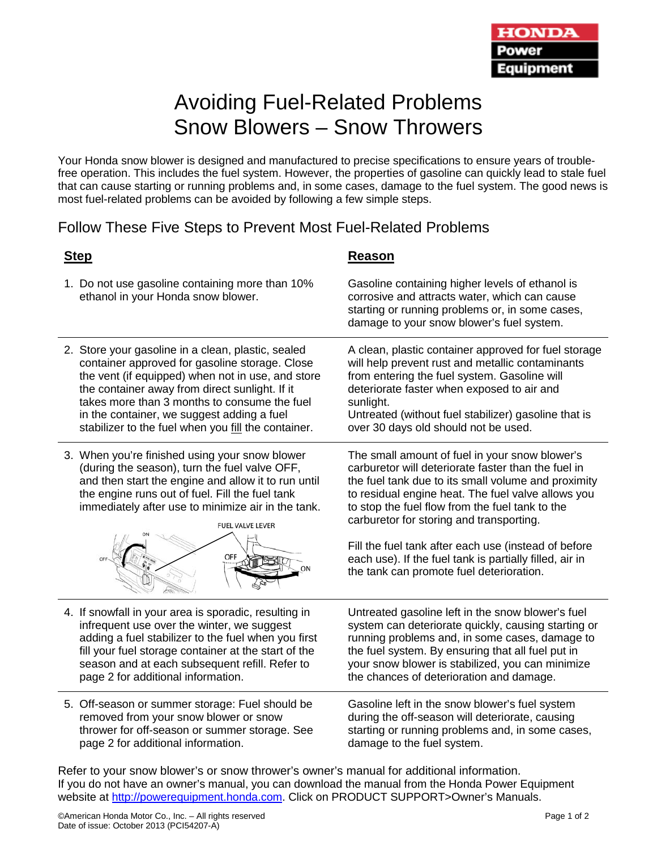# Avoiding Fuel-Related Problems Snow Blowers – Snow Throwers

Your Honda snow blower is designed and manufactured to precise specifications to ensure years of troublefree operation. This includes the fuel system. However, the properties of gasoline can quickly lead to stale fuel that can cause starting or running problems and, in some cases, damage to the fuel system. The good news is most fuel-related problems can be avoided by following a few simple steps.

# Follow These Five Steps to Prevent Most Fuel-Related Problems

- 1. Do not use gasoline containing more than 10% ethanol in your Honda snow blower.
- 2. Store your gasoline in a clean, plastic, sealed container approved for gasoline storage. Close the vent (if equipped) when not in use, and store the container away from direct sunlight. If it takes more than 3 months to consume the fuel in the container, we suggest adding a fuel stabilizer to the fuel when you fill the container.
- 3. When you're finished using your snow blower (during the season), turn the fuel valve OFF, and then start the engine and allow it to run until the engine runs out of fuel. Fill the fuel tank immediately after use to minimize air in the tank.



- 4. If snowfall in your area is sporadic, resulting in infrequent use over the winter, we suggest adding a fuel stabilizer to the fuel when you first fill your fuel storage container at the start of the season and at each subsequent refill. Refer to page 2 for additional information.
- 5. Off-season or summer storage: Fuel should be removed from your snow blower or snow thrower for off-season or summer storage. See page 2 for additional information.

### **Step Reason**

Gasoline containing higher levels of ethanol is corrosive and attracts water, which can cause starting or running problems or, in some cases, damage to your snow blower's fuel system.

A clean, plastic container approved for fuel storage will help prevent rust and metallic contaminants from entering the fuel system. Gasoline will deteriorate faster when exposed to air and sunlight.

Untreated (without fuel stabilizer) gasoline that is over 30 days old should not be used.

The small amount of fuel in your snow blower's carburetor will deteriorate faster than the fuel in the fuel tank due to its small volume and proximity to residual engine heat. The fuel valve allows you to stop the fuel flow from the fuel tank to the carburetor for storing and transporting.

Fill the fuel tank after each use (instead of before each use). If the fuel tank is partially filled, air in the tank can promote fuel deterioration.

Untreated gasoline left in the snow blower's fuel system can deteriorate quickly, causing starting or running problems and, in some cases, damage to the fuel system. By ensuring that all fuel put in your snow blower is stabilized, you can minimize the chances of deterioration and damage.

Gasoline left in the snow blower's fuel system during the off-season will deteriorate, causing starting or running problems and, in some cases, damage to the fuel system.

Refer to your snow blower's or snow thrower's owner's manual for additional information. If you do not have an owner's manual, you can download the manual from the Honda Power Equipment website at [http://powerequipment.honda.com.](http://powerequipment.honda.com/) Click on PRODUCT SUPPORT>Owner's Manuals.